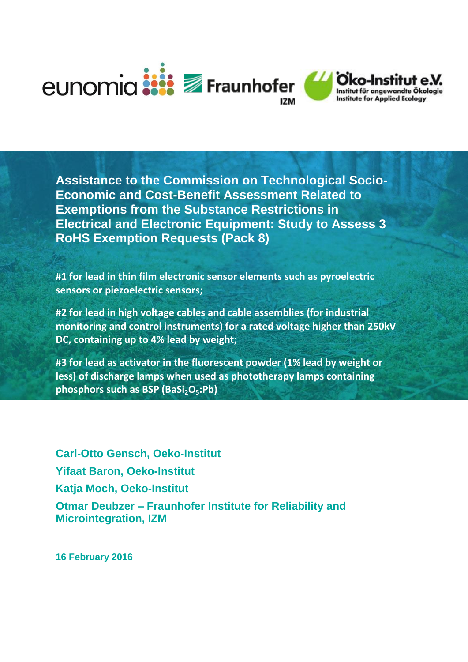

**Assistance to the Commission on Technological Socio-Economic and Cost-Benefit Assessment Related to Exemptions from the Substance Restrictions in Electrical and Electronic Equipment: Study to Assess 3 RoHS Exemption Requests (Pack 8)**

**#1 for lead in thin film electronic sensor elements such as pyroelectric sensors or piezoelectric sensors;**

**#2 for lead in high voltage cables and cable assemblies (for industrial monitoring and control instruments) for a rated voltage higher than 250kV DC, containing up to 4% lead by weight;**

**#3 for lead as activator in the fluorescent powder (1% lead by weight or less) of discharge lamps when used as phototherapy lamps containing phosphors such as BSP (BaSi2O5:Pb)**

**Carl-Otto Gensch, Oeko-Institut Yifaat Baron, Oeko-Institut Katja Moch, Oeko-Institut Otmar Deubzer – Fraunhofer Institute for Reliability and Microintegration, IZM**

**16 February 2016**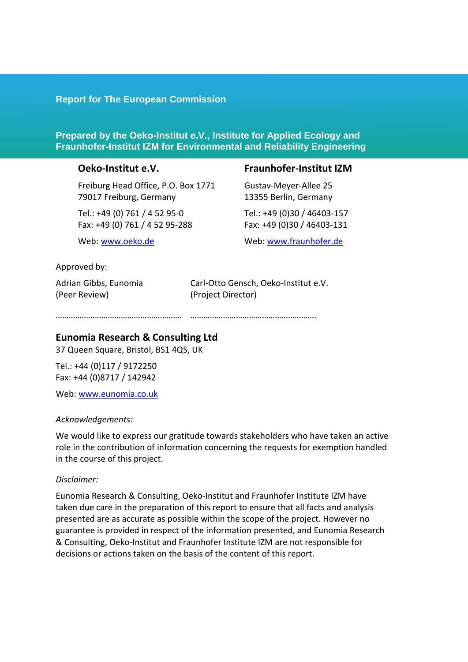#### **Report for The European Commission**

#### **Prepared by the Oeko-Institut e.V., Institute for Applied Ecology and Fraunhofer-Institut IZM for Environmental and Reliability Engineering**

#### **Oeko-Institut e.V.**

Freiburg Head Office, P.O. Box 1771 79017 Freiburg, Germany

Tel.: +49 (0) 761 / 4 52 95-0 Fax: +49 (0) 761 / 4 52 95-288

Web: [www.oeko.de](http://www.oeko.de/)

#### **Fraunhofer-Institut IZM**

Gustav-Meyer-Allee 25 13355 Berlin, Germany Tel.: +49 (0)30 / 46403-157 Fax: +49 (0)30 / 46403-131

Web[: www.fraunhofer.de](http://www.fraunhofer.de/)

#### Approved by:

Adrian Gibbs, Eunomia (Peer Review)

Carl-Otto Gensch, Oeko-Institut e.V. (Project Director)

…………………………………………………. ………………………………………………….

#### **Eunomia Research & Consulting Ltd**

37 Queen Square, Bristol, BS1 4QS, UK

Tel.: +44 (0)117 / 9172250 Fax: +44 (0)8717 / 142942

Web: [www.eunomia.co.uk](http://www.eunomia.co.uk/)

#### *Acknowledgements:*

We would like to express our gratitude towards stakeholders who have taken an active role in the contribution of information concerning the requests for exemption handled in the course of this project.

#### *Disclaimer:*

Eunomia Research & Consulting, Oeko-Institut and Fraunhofer Institute IZM have taken due care in the preparation of this report to ensure that all facts and analysis presented are as accurate as possible within the scope of the project. However no guarantee is provided in respect of the information presented, and Eunomia Research & Consulting, Oeko-Institut and Fraunhofer Institute IZM are not responsible for decisions or actions taken on the basis of the content of this report.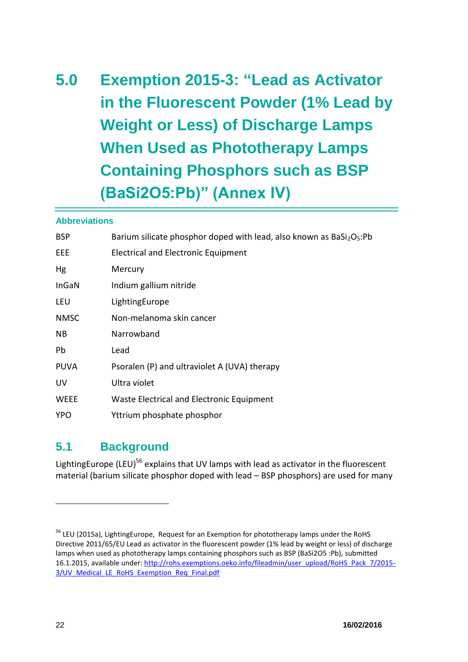# **5.0 Exemption 2015-3: "Lead as Activator in the Fluorescent Powder (1% Lead by Weight or Less) of Discharge Lamps When Used as Phototherapy Lamps Containing Phosphors such as BSP (BaSi2O5:Pb)" (Annex IV)**

#### **Abbreviations**

| <b>BSP</b>  | Barium silicate phosphor doped with lead, also known as BaSi2O <sub>5</sub> :Pb |
|-------------|---------------------------------------------------------------------------------|
| EEE.        | Electrical and Electronic Equipment                                             |
| Hg          | Mercury                                                                         |
| InGaN       | Indium gallium nitride                                                          |
| LEU         | LightingEurope                                                                  |
| <b>NMSC</b> | Non-melanoma skin cancer                                                        |
| NB.         | Narrowband                                                                      |
| Pb          | Lead                                                                            |
| <b>PUVA</b> | Psoralen (P) and ultraviolet A (UVA) therapy                                    |
| UV          | Ultra violet                                                                    |
| <b>WEEE</b> | Waste Electrical and Electronic Equipment                                       |
| <b>YPO</b>  | Yttrium phosphate phosphor                                                      |

## **5.1 Background**

Lighting Europe (LEU)<sup>56</sup> explains that UV lamps with lead as activator in the fluorescent material (barium silicate phosphor doped with lead – BSP phosphors) are used for many

<sup>&</sup>lt;sup>56</sup> LEU (2015a), LightingEurope, Request for an Exemption for phototherapy lamps under the RoHS Directive 2011/65/EU Lead as activator in the fluorescent powder (1% lead by weight or less) of discharge lamps when used as phototherapy lamps containing phosphors such as BSP (BaSi2O5 :Pb), submitted 16.1.2015, available under[: http://rohs.exemptions.oeko.info/fileadmin/user\\_upload/RoHS\\_Pack\\_7/2015-](http://rohs.exemptions.oeko.info/fileadmin/user_upload/RoHS_Pack_7/2015-3/UV_Medical_LE_RoHS_Exemption_Req_Final.pdf) 3/UV Medical LE RoHS Exemption Req Final.pdf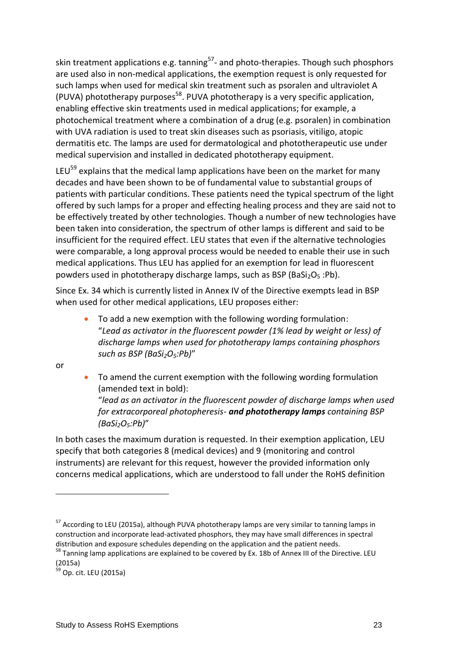skin treatment applications e.g. tanning<sup>57</sup>- and photo-therapies. Though such phosphors are used also in non-medical applications, the exemption request is only requested for such lamps when used for medical skin treatment such as psoralen and ultraviolet A (PUVA) phototherapy purposes<sup>58</sup>. PUVA phototherapy is a very specific application, enabling effective skin treatments used in medical applications; for example, a photochemical treatment where a combination of a drug (e.g. psoralen) in combination with UVA radiation is used to treat skin diseases such as psoriasis, vitiligo, atopic dermatitis etc. The lamps are used for dermatological and phototherapeutic use under medical supervision and installed in dedicated phototherapy equipment.

LEU<sup>59</sup> explains that the medical lamp applications have been on the market for many decades and have been shown to be of fundamental value to substantial groups of patients with particular conditions. These patients need the typical spectrum of the light offered by such lamps for a proper and effecting healing process and they are said not to be effectively treated by other technologies. Though a number of new technologies have been taken into consideration, the spectrum of other lamps is different and said to be insufficient for the required effect. LEU states that even if the alternative technologies were comparable, a long approval process would be needed to enable their use in such medical applications. Thus LEU has applied for an exemption for lead in fluorescent powders used in phototherapy discharge lamps, such as BSP (BaSi<sub>2</sub>O<sub>5</sub>:Pb).

Since Ex. 34 which is currently listed in Annex IV of the Directive exempts lead in BSP when used for other medical applications, LEU proposes either:

 To add a new exemption with the following wording formulation: "*Lead as activator in the fluorescent powder (1% lead by weight or less) of discharge lamps when used for phototherapy lamps containing phosphors such as BSP (BaSi2O5:Pb)*"

or

 $\overline{a}$ 

 To amend the current exemption with the following wording formulation (amended text in bold):

"*lead as an activator in the fluorescent powder of discharge lamps when used for extracorporeal photopheresis- and phototherapy lamps containing BSP (BaSi2O5:Pb)*"

In both cases the maximum duration is requested. In their exemption application, LEU specify that both categories 8 (medical devices) and 9 (monitoring and control instruments) are relevant for this request, however the provided information only concerns medical applications, which are understood to fall under the RoHS definition

<sup>&</sup>lt;sup>57</sup> According to LEU (2015a), although PUVA phototherapy lamps are very similar to tanning lamps in construction and incorporate lead-activated phosphors, they may have small differences in spectral distribution and exposure schedules depending on the application and the patient needs.

<sup>&</sup>lt;sup>58</sup> Tanning lamp applications are explained to be covered by Ex. 18b of Annex III of the Directive. LEU (2015a)

 $59$  Op. cit. LEU (2015a)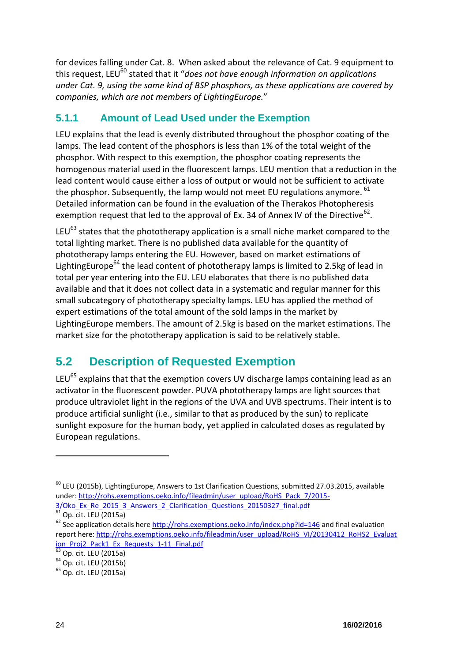for devices falling under Cat. 8. When asked about the relevance of Cat. 9 equipment to this request, LEU<sup>60</sup> stated that it "*does not have enough information on applications under Cat. 9, using the same kind of BSP phosphors, as these applications are covered by companies, which are not members of LightingEurope.*"

## **5.1.1 Amount of Lead Used under the Exemption**

LEU explains that the lead is evenly distributed throughout the phosphor coating of the lamps. The lead content of the phosphors is less than 1% of the total weight of the phosphor. With respect to this exemption, the phosphor coating represents the homogenous material used in the fluorescent lamps. LEU mention that a reduction in the lead content would cause either a loss of output or would not be sufficient to activate the phosphor. Subsequently, the lamp would not meet EU regulations anymore. <sup>61</sup> Detailed information can be found in the evaluation of the Therakos Photopheresis exemption request that led to the approval of Ex. 34 of Annex IV of the Directive<sup>62</sup>.

<span id="page-4-0"></span>LEU $^{63}$  states that the phototherapy application is a small niche market compared to the total lighting market. There is no published data available for the quantity of phototherapy lamps entering the EU. However, based on market estimations of Lighting Europe<sup>64</sup> the lead content of phototherapy lamps is limited to 2.5 kg of lead in total per year entering into the EU. LEU elaborates that there is no published data available and that it does not collect data in a systematic and regular manner for this small subcategory of phototherapy specialty lamps. LEU has applied the method of expert estimations of the total amount of the sold lamps in the market by LightingEurope members. The amount of 2.5kg is based on the market estimations. The market size for the phototherapy application is said to be relatively stable.

# **5.2 Description of Requested Exemption**

LEU $<sup>65</sup>$  explains that that the exemption covers UV discharge lamps containing lead as an</sup> activator in the fluorescent powder. PUVA phototherapy lamps are light sources that produce ultraviolet light in the regions of the UVA and UVB spectrums. Their intent is to produce artificial sunlight (i.e., similar to that as produced by the sun) to replicate sunlight exposure for the human body, yet applied in calculated doses as regulated by European regulations.

 $^{60}$  LEU (2015b), LightingEurope, Answers to 1st Clarification Questions, submitted 27.03.2015, available under: [http://rohs.exemptions.oeko.info/fileadmin/user\\_upload/RoHS\\_Pack\\_7/2015-](http://rohs.exemptions.oeko.info/fileadmin/user_upload/RoHS_Pack_7/2015-3/Oko_Ex_Re_2015_3_Answers_2_Clarification_Questions_20150327_final.pdf) [3/Oko\\_Ex\\_Re\\_2015\\_3\\_Answers\\_2\\_Clarification\\_Questions\\_20150327\\_final.pdf](http://rohs.exemptions.oeko.info/fileadmin/user_upload/RoHS_Pack_7/2015-3/Oko_Ex_Re_2015_3_Answers_2_Clarification_Questions_20150327_final.pdf)

<sup>61</sup> Op. cit. LEU (2015a)

<sup>&</sup>lt;sup>62</sup> See application details here<http://rohs.exemptions.oeko.info/index.php?id=146> and final evaluation report here: [http://rohs.exemptions.oeko.info/fileadmin/user\\_upload/RoHS\\_VI/20130412\\_RoHS2\\_Evaluat](http://rohs.exemptions.oeko.info/fileadmin/user_upload/RoHS_VI/20130412_RoHS2_Evaluation_Proj2_Pack1_Ex_Requests_1-11_Final.pdf) [ion\\_Proj2\\_Pack1\\_Ex\\_Requests\\_1-11\\_Final.pdf](http://rohs.exemptions.oeko.info/fileadmin/user_upload/RoHS_VI/20130412_RoHS2_Evaluation_Proj2_Pack1_Ex_Requests_1-11_Final.pdf)

 $63$  Op. cit. LEU (2015a)

<sup>64</sup> Op. cit. LEU (2015b)

<sup>65</sup> Op. cit. LEU (2015a)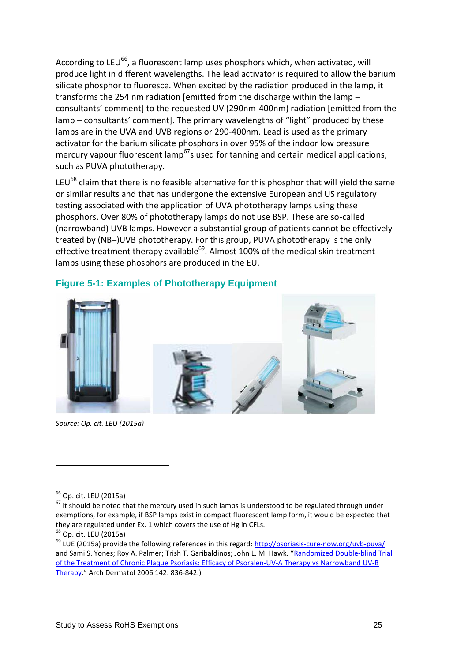According to LEU $^{66}$ , a fluorescent lamp uses phosphors which, when activated, will produce light in different wavelengths. The lead activator is required to allow the barium silicate phosphor to fluoresce. When excited by the radiation produced in the lamp, it transforms the 254 nm radiation [emitted from the discharge within the lamp – consultants' comment] to the requested UV (290nm-400nm) radiation [emitted from the lamp – consultants' comment]. The primary wavelengths of "light" produced by these lamps are in the UVA and UVB regions or 290-400nm. Lead is used as the primary activator for the barium silicate phosphors in over 95% of the indoor low pressure mercury vapour fluorescent lamp<sup>67</sup>s used for tanning and certain medical applications, such as PUVA phototherapy.

LEU<sup>68</sup> claim that there is no feasible alternative for this phosphor that will yield the same or similar results and that has undergone the extensive European and US regulatory testing associated with the application of UVA phototherapy lamps using these phosphors. Over 80% of phototherapy lamps do not use BSP. These are so-called (narrowband) UVB lamps. However a substantial group of patients cannot be effectively treated by (NB–)UVB phototherapy. For this group, PUVA phototherapy is the only effective treatment therapy available<sup>69</sup>. Almost 100% of the medical skin treatment lamps using these phosphors are produced in the EU.



#### **Figure 5-1: Examples of Phototherapy Equipment**

*Source: Op. cit. LEU (2015a)*

 $66$  Op. cit. LEU (2015a)

 $67$  It should be noted that the mercury used in such lamps is understood to be regulated through under exemptions, for example, if BSP lamps exist in compact fluorescent lamp form, it would be expected that they are regulated under Ex. 1 which covers the use of Hg in CFLs.

<sup>68</sup> Op. cit. LEU (2015a)

<sup>&</sup>lt;sup>69</sup> LUE (2015a) provide the following references in this regard:<http://psoriasis-cure-now.org/uvb-puva/> and Sami S. Yones; Roy A. Palmer; Trish T. Garibaldinos; John L. M. Hawk. "[Randomized Double-blind Trial](http://archderm.ama-assn.org/cgi/content/abstract/142/7/836)  [of the Treatment of Chronic Plaque Psoriasis: Efficacy of Psoralen-UV-A Therapy vs Narrowband UV-B](http://archderm.ama-assn.org/cgi/content/abstract/142/7/836)  [Therapy](http://archderm.ama-assn.org/cgi/content/abstract/142/7/836)." Arch Dermatol 2006 142: 836-842.)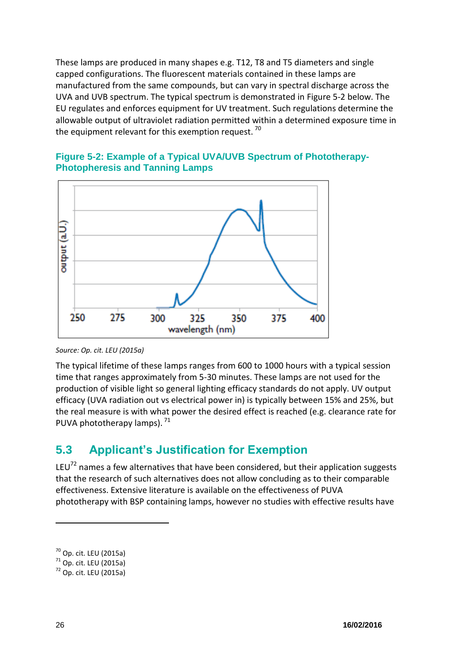These lamps are produced in many shapes e.g. T12, T8 and T5 diameters and single capped configurations. The fluorescent materials contained in these lamps are manufactured from the same compounds, but can vary in spectral discharge across the UVA and UVB spectrum. The typical spectrum is demonstrated in [Figure 5-2](#page-6-0) below. The EU regulates and enforces equipment for UV treatment. Such regulations determine the allowable output of ultraviolet radiation permitted within a determined exposure time in the equipment relevant for this exemption request.<sup>70</sup>



#### <span id="page-6-0"></span>**Figure 5-2: Example of a Typical UVA/UVB Spectrum of Phototherapy-Photopheresis and Tanning Lamps**

The typical lifetime of these lamps ranges from 600 to 1000 hours with a typical session time that ranges approximately from 5-30 minutes. These lamps are not used for the production of visible light so general lighting efficacy standards do not apply. UV output efficacy (UVA radiation out vs electrical power in) is typically between 15% and 25%, but the real measure is with what power the desired effect is reached (e.g. clearance rate for PUVA phototherapy lamps).  $71$ 

## <span id="page-6-1"></span>**5.3 Applicant's Justification for Exemption**

LEU $^{72}$  names a few alternatives that have been considered, but their application suggests that the research of such alternatives does not allow concluding as to their comparable effectiveness. Extensive literature is available on the effectiveness of PUVA phototherapy with BSP containing lamps, however no studies with effective results have

*Source: Op. cit. LEU (2015a)*

 $70$  Op. cit. LEU (2015a)

 $71$  Op. cit. LEU (2015a)

<sup>72</sup> Op. cit. LEU (2015a)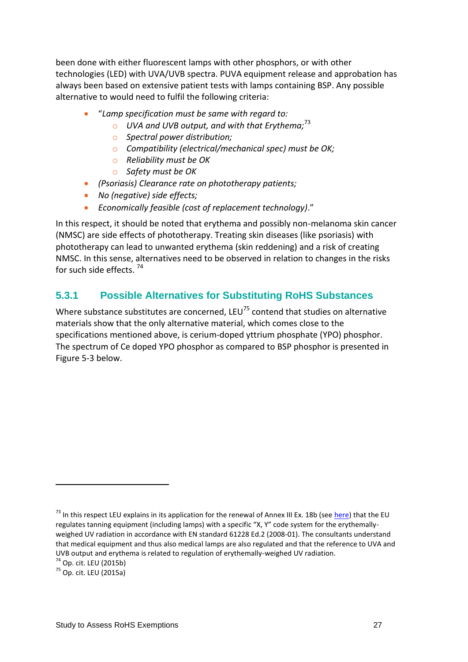been done with either fluorescent lamps with other phosphors, or with other technologies (LED) with UVA/UVB spectra. PUVA equipment release and approbation has always been based on extensive patient tests with lamps containing BSP. Any possible alternative to would need to fulfil the following criteria:

- "*Lamp specification must be same with regard to:*
	- o *UVA and UVB output, and with that Erythema;*<sup>73</sup>
	- o *Spectral power distribution;*
	- o *Compatibility (electrical/mechanical spec) must be OK;*
	- o *Reliability must be OK*
	- o *Safety must be OK*
- *(Psoriasis) Clearance rate on phototherapy patients;*
- *No (negative) side effects;*
- *Economically feasible (cost of replacement technology)*."

In this respect, it should be noted that erythema and possibly non-melanoma skin cancer (NMSC) are side effects of phototherapy. Treating skin diseases (like psoriasis) with phototherapy can lead to unwanted erythema (skin reddening) and a risk of creating NMSC. In this sense, alternatives need to be observed in relation to changes in the risks for such side effects.<sup>74</sup>

#### **5.3.1 Possible Alternatives for Substituting RoHS Substances**

Where substance substitutes are concerned, LEU<sup>75</sup> contend that studies on alternative materials show that the only alternative material, which comes close to the specifications mentioned above, is cerium-doped yttrium phosphate (YPO) phosphor. The spectrum of Ce doped YPO phosphor as compared to BSP phosphor is presented in [Figure 5-3](#page-8-0) below.

<sup>&</sup>lt;sup>73</sup> In this respect LEU explains in its application for the renewal of Annex III Ex. 18b (see [here\)](http://rohs.exemptions.oeko.info/fileadmin/user_upload/RoHS_Pack_9/Exemption_18_b_/Lighting_EUrope/18b_LE_RoHS_Exemption__Req_Final_draft.pdf) that the EU regulates tanning equipment (including lamps) with a specific "X, Y" code system for the erythemallyweighed UV radiation in accordance with EN standard 61228 Ed.2 (2008-01). The consultants understand that medical equipment and thus also medical lamps are also regulated and that the reference to UVA and UVB output and erythema is related to regulation of erythemally-weighed UV radiation.

 $74$  Op. cit. LEU (2015b)

<sup>75</sup> Op. cit. LEU (2015a)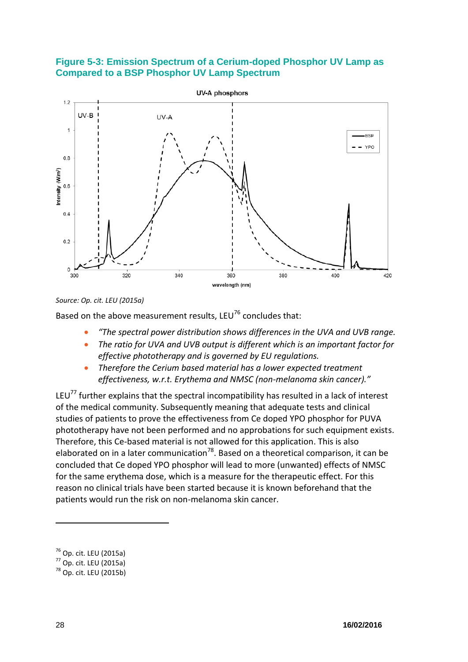#### <span id="page-8-0"></span>**Figure 5-3: Emission Spectrum of a Cerium-doped Phosphor UV Lamp as Compared to a BSP Phosphor UV Lamp Spectrum**



#### *Source: Op. cit. LEU (2015a)*

Based on the above measurement results, LEU<sup>76</sup> concludes that:

- *"The spectral power distribution shows differences in the UVA and UVB range.*
- *The ratio for UVA and UVB output is different which is an important factor for effective phototherapy and is governed by EU regulations.*
- *Therefore the Cerium based material has a lower expected treatment effectiveness, w.r.t. Erythema and NMSC (non-melanoma skin cancer)."*

LEU<sup>77</sup> further explains that the spectral incompatibility has resulted in a lack of interest of the medical community. Subsequently meaning that adequate tests and clinical studies of patients to prove the effectiveness from Ce doped YPO phosphor for PUVA phototherapy have not been performed and no approbations for such equipment exists. Therefore, this Ce-based material is not allowed for this application. This is also elaborated on in a later communication<sup>78</sup>. Based on a theoretical comparison, it can be concluded that Ce doped YPO phosphor will lead to more (unwanted) effects of NMSC for the same erythema dose, which is a measure for the therapeutic effect. For this reason no clinical trials have been started because it is known beforehand that the patients would run the risk on non-melanoma skin cancer.

 $76$  Op. cit. LEU (2015a)

<sup>77</sup> Op. cit. LEU (2015a)

<sup>78</sup> Op. cit. LEU (2015b)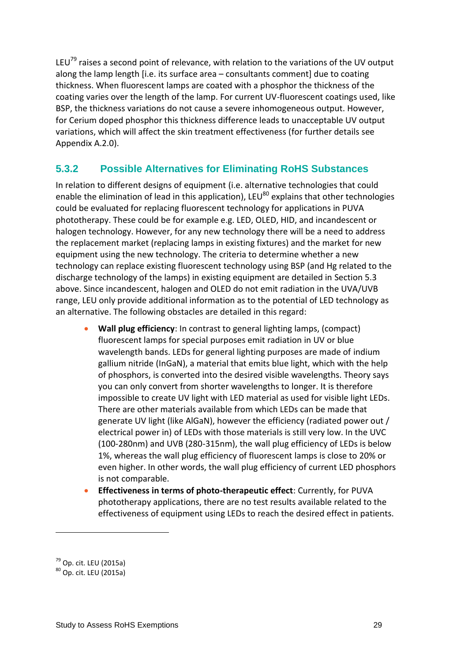LEU<sup>79</sup> raises a second point of relevance, with relation to the variations of the UV output along the lamp length [i.e. its surface area – consultants comment] due to coating thickness. When fluorescent lamps are coated with a phosphor the thickness of the coating varies over the length of the lamp. For current UV-fluorescent coatings used, like BSP, the thickness variations do not cause a severe inhomogeneous output. However, for Cerium doped phosphor this thickness difference leads to unacceptable UV output variations, which will affect the skin treatment effectiveness (for further details see Appendix A.2.0).

### **5.3.2 Possible Alternatives for Eliminating RoHS Substances**

In relation to different designs of equipment (i.e. alternative technologies that could enable the elimination of lead in this application), LEU $^{80}$  explains that other technologies could be evaluated for replacing fluorescent technology for applications in PUVA phototherapy. These could be for example e.g. LED, OLED, HID, and incandescent or halogen technology. However, for any new technology there will be a need to address the replacement market (replacing lamps in existing fixtures) and the market for new equipment using the new technology. The criteria to determine whether a new technology can replace existing fluorescent technology using BSP (and Hg related to the discharge technology of the lamps) in existing equipment are detailed in Section [5.3](#page-6-1) above. Since incandescent, halogen and OLED do not emit radiation in the UVA/UVB range, LEU only provide additional information as to the potential of LED technology as an alternative. The following obstacles are detailed in this regard:

- **Wall plug efficiency**: In contrast to general lighting lamps, (compact) fluorescent lamps for special purposes emit radiation in UV or blue wavelength bands. LEDs for general lighting purposes are made of indium gallium nitride (InGaN), a material that emits blue light, which with the help of phosphors, is converted into the desired visible wavelengths. Theory says you can only convert from shorter wavelengths to longer. It is therefore impossible to create UV light with LED material as used for visible light LEDs. There are other materials available from which LEDs can be made that generate UV light (like AlGaN), however the efficiency (radiated power out / electrical power in) of LEDs with those materials is still very low. In the UVC (100-280nm) and UVB (280-315nm), the wall plug efficiency of LEDs is below 1%, whereas the wall plug efficiency of fluorescent lamps is close to 20% or even higher. In other words, the wall plug efficiency of current LED phosphors is not comparable.
- **Effectiveness in terms of photo-therapeutic effect**: Currently, for PUVA phototherapy applications, there are no test results available related to the effectiveness of equipment using LEDs to reach the desired effect in patients.

 $79$  Op. cit. LEU (2015a)

<sup>80</sup> Op. cit. LEU (2015a)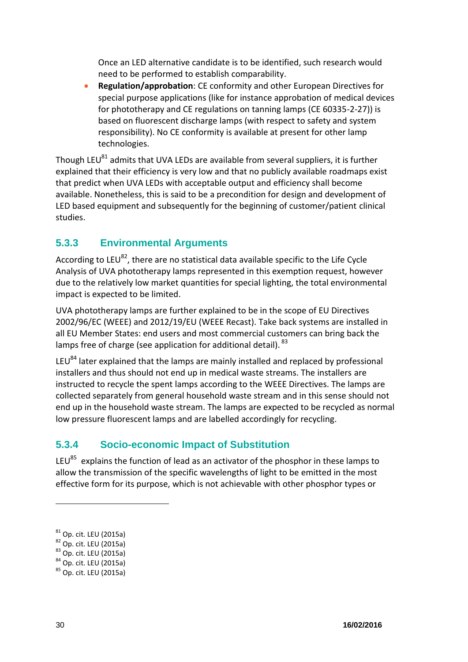Once an LED alternative candidate is to be identified, such research would need to be performed to establish comparability.

 **Regulation/approbation**: CE conformity and other European Directives for special purpose applications (like for instance approbation of medical devices for phototherapy and CE regulations on tanning lamps (CE 60335-2-27)) is based on fluorescent discharge lamps (with respect to safety and system responsibility). No CE conformity is available at present for other lamp technologies.

Though LEU $^{81}$  admits that UVA LEDs are available from several suppliers, it is further explained that their efficiency is very low and that no publicly available roadmaps exist that predict when UVA LEDs with acceptable output and efficiency shall become available. Nonetheless, this is said to be a precondition for design and development of LED based equipment and subsequently for the beginning of customer/patient clinical studies.

## **5.3.3 Environmental Arguments**

According to LEU $^{82}$ , there are no statistical data available specific to the Life Cycle Analysis of UVA phototherapy lamps represented in this exemption request, however due to the relatively low market quantities for special lighting, the total environmental impact is expected to be limited.

UVA phototherapy lamps are further explained to be in the scope of EU Directives 2002/96/EC (WEEE) and 2012/19/EU (WEEE Recast). Take back systems are installed in all EU Member States: end users and most commercial customers can bring back the lamps free of charge (see application for additional detail). 83

LEU $^{84}$  later explained that the lamps are mainly installed and replaced by professional installers and thus should not end up in medical waste streams. The installers are instructed to recycle the spent lamps according to the WEEE Directives. The lamps are collected separately from general household waste stream and in this sense should not end up in the household waste stream. The lamps are expected to be recycled as normal low pressure fluorescent lamps and are labelled accordingly for recycling.

## **5.3.4 Socio-economic Impact of Substitution**

LEU<sup>85</sup> explains the function of lead as an activator of the phosphor in these lamps to allow the transmission of the specific wavelengths of light to be emitted in the most effective form for its purpose, which is not achievable with other phosphor types or

 $^{81}$  Op. cit. LEU (2015a)

<sup>&</sup>lt;sup>82</sup> Op. cit. LEU (2015a)

<sup>83</sup> Op. cit. LEU (2015a)

<sup>84</sup> Op. cit. LEU (2015a)

<sup>85</sup> Op. cit. LEU (2015a)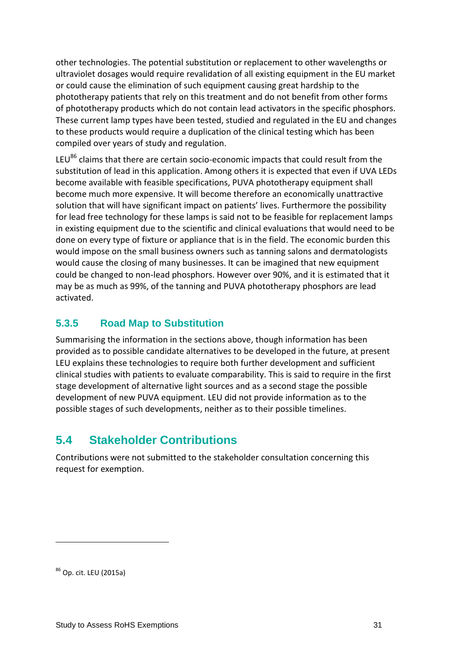other technologies. The potential substitution or replacement to other wavelengths or ultraviolet dosages would require revalidation of all existing equipment in the EU market or could cause the elimination of such equipment causing great hardship to the phototherapy patients that rely on this treatment and do not benefit from other forms of phototherapy products which do not contain lead activators in the specific phosphors. These current lamp types have been tested, studied and regulated in the EU and changes to these products would require a duplication of the clinical testing which has been compiled over years of study and regulation.

LEU<sup>86</sup> claims that there are certain socio-economic impacts that could result from the substitution of lead in this application. Among others it is expected that even if UVA LEDs become available with feasible specifications, PUVA phototherapy equipment shall become much more expensive. It will become therefore an economically unattractive solution that will have significant impact on patients' lives. Furthermore the possibility for lead free technology for these lamps is said not to be feasible for replacement lamps in existing equipment due to the scientific and clinical evaluations that would need to be done on every type of fixture or appliance that is in the field. The economic burden this would impose on the small business owners such as tanning salons and dermatologists would cause the closing of many businesses. It can be imagined that new equipment could be changed to non-lead phosphors. However over 90%, and it is estimated that it may be as much as 99%, of the tanning and PUVA phototherapy phosphors are lead activated.

## **5.3.5 Road Map to Substitution**

Summarising the information in the sections above, though information has been provided as to possible candidate alternatives to be developed in the future, at present LEU explains these technologies to require both further development and sufficient clinical studies with patients to evaluate comparability. This is said to require in the first stage development of alternative light sources and as a second stage the possible development of new PUVA equipment. LEU did not provide information as to the possible stages of such developments, neither as to their possible timelines.

# **5.4 Stakeholder Contributions**

Contributions were not submitted to the stakeholder consultation concerning this request for exemption.

<sup>86</sup> Op. cit. LEU (2015a)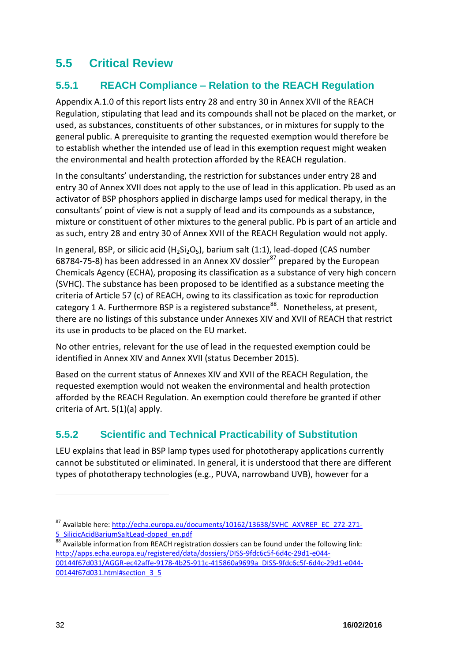# **5.5 Critical Review**

## **5.5.1 REACH Compliance – Relation to the REACH Regulation**

Appendix A.1.0 of this report lists entry 28 and entry 30 in Annex XVII of the REACH Regulation, stipulating that lead and its compounds shall not be placed on the market, or used, as substances, constituents of other substances, or in mixtures for supply to the general public. A prerequisite to granting the requested exemption would therefore be to establish whether the intended use of lead in this exemption request might weaken the environmental and health protection afforded by the REACH regulation.

In the consultants' understanding, the restriction for substances under entry 28 and entry 30 of Annex XVII does not apply to the use of lead in this application. Pb used as an activator of BSP phosphors applied in discharge lamps used for medical therapy, in the consultants' point of view is not a supply of lead and its compounds as a substance, mixture or constituent of other mixtures to the general public. Pb is part of an article and as such, entry 28 and entry 30 of Annex XVII of the REACH Regulation would not apply.

In general, BSP, or silicic acid  $(H_2Si_2O_5)$ , barium salt (1:1), lead-doped (CAS number 68784-75-8) has been addressed in an Annex XV dossier $^{87}$  prepared by the European Chemicals Agency (ECHA), proposing its classification as a substance of very high concern (SVHC). The substance has been proposed to be identified as a substance meeting the criteria of Article 57 (c) of REACH, owing to its classification as toxic for reproduction category 1 A. Furthermore BSP is a registered substance<sup>88</sup>. Nonetheless, at present, there are no listings of this substance under Annexes XIV and XVII of REACH that restrict its use in products to be placed on the EU market.

No other entries, relevant for the use of lead in the requested exemption could be identified in Annex XIV and Annex XVII (status December 2015).

Based on the current status of Annexes XIV and XVII of the REACH Regulation, the requested exemption would not weaken the environmental and health protection afforded by the REACH Regulation. An exemption could therefore be granted if other criteria of Art. 5(1)(a) apply.

## <span id="page-12-0"></span>**5.5.2 Scientific and Technical Practicability of Substitution**

LEU explains that lead in BSP lamp types used for phototherapy applications currently cannot be substituted or eliminated. In general, it is understood that there are different types of phototherapy technologies (e.g., PUVA, narrowband UVB), however for a

<sup>87</sup> Available here[: http://echa.europa.eu/documents/10162/13638/SVHC\\_AXVREP\\_EC\\_272-271-](http://echa.europa.eu/documents/10162/13638/SVHC_AXVREP_EC_272-271-5_SilicicAcidBariumSaltLead-doped_en.pdf) [5\\_SilicicAcidBariumSaltLead-doped\\_en.pdf](http://echa.europa.eu/documents/10162/13638/SVHC_AXVREP_EC_272-271-5_SilicicAcidBariumSaltLead-doped_en.pdf) 

 $^{88}$  Available information from REACH registration dossiers can be found under the following link: [http://apps.echa.europa.eu/registered/data/dossiers/DISS-9fdc6c5f-6d4c-29d1-e044-](http://apps.echa.europa.eu/registered/data/dossiers/DISS-9fdc6c5f-6d4c-29d1-e044-00144f67d031/AGGR-ec42affe-9178-4b25-911c-415860a9699a_DISS-9fdc6c5f-6d4c-29d1-e044-00144f67d031.html#section_3_5) [00144f67d031/AGGR-ec42affe-9178-4b25-911c-415860a9699a\\_DISS-9fdc6c5f-6d4c-29d1-e044-](http://apps.echa.europa.eu/registered/data/dossiers/DISS-9fdc6c5f-6d4c-29d1-e044-00144f67d031/AGGR-ec42affe-9178-4b25-911c-415860a9699a_DISS-9fdc6c5f-6d4c-29d1-e044-00144f67d031.html#section_3_5) 00144f67d031.html#section 3 5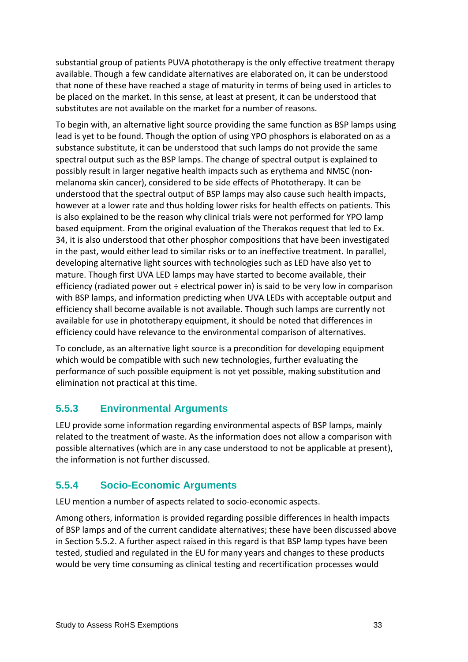substantial group of patients PUVA phototherapy is the only effective treatment therapy available. Though a few candidate alternatives are elaborated on, it can be understood that none of these have reached a stage of maturity in terms of being used in articles to be placed on the market. In this sense, at least at present, it can be understood that substitutes are not available on the market for a number of reasons.

To begin with, an alternative light source providing the same function as BSP lamps using lead is yet to be found. Though the option of using YPO phosphors is elaborated on as a substance substitute, it can be understood that such lamps do not provide the same spectral output such as the BSP lamps. The change of spectral output is explained to possibly result in larger negative health impacts such as erythema and NMSC (nonmelanoma skin cancer), considered to be side effects of Phototherapy. It can be understood that the spectral output of BSP lamps may also cause such health impacts, however at a lower rate and thus holding lower risks for health effects on patients. This is also explained to be the reason why clinical trials were not performed for YPO lamp based equipment. From the original evaluation of the Therakos request that led to Ex. 34, it is also understood that other phosphor compositions that have been investigated in the past, would either lead to similar risks or to an ineffective treatment. In parallel, developing alternative light sources with technologies such as LED have also yet to mature. Though first UVA LED lamps may have started to become available, their efficiency (radiated power out ÷ electrical power in) is said to be very low in comparison with BSP lamps, and information predicting when UVA LEDs with acceptable output and efficiency shall become available is not available. Though such lamps are currently not available for use in phototherapy equipment, it should be noted that differences in efficiency could have relevance to the environmental comparison of alternatives.

To conclude, as an alternative light source is a precondition for developing equipment which would be compatible with such new technologies, further evaluating the performance of such possible equipment is not yet possible, making substitution and elimination not practical at this time.

## **5.5.3 Environmental Arguments**

LEU provide some information regarding environmental aspects of BSP lamps, mainly related to the treatment of waste. As the information does not allow a comparison with possible alternatives (which are in any case understood to not be applicable at present), the information is not further discussed.

## **5.5.4 Socio-Economic Arguments**

LEU mention a number of aspects related to socio-economic aspects.

Among others, information is provided regarding possible differences in health impacts of BSP lamps and of the current candidate alternatives; these have been discussed above in Section [5.5.2.](#page-12-0) A further aspect raised in this regard is that BSP lamp types have been tested, studied and regulated in the EU for many years and changes to these products would be very time consuming as clinical testing and recertification processes would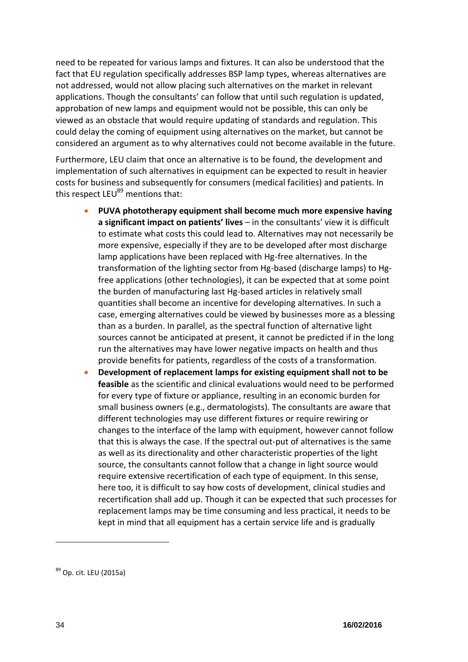need to be repeated for various lamps and fixtures. It can also be understood that the fact that EU regulation specifically addresses BSP lamp types, whereas alternatives are not addressed, would not allow placing such alternatives on the market in relevant applications. Though the consultants' can follow that until such regulation is updated, approbation of new lamps and equipment would not be possible, this can only be viewed as an obstacle that would require updating of standards and regulation. This could delay the coming of equipment using alternatives on the market, but cannot be considered an argument as to why alternatives could not become available in the future.

Furthermore, LEU claim that once an alternative is to be found, the development and implementation of such alternatives in equipment can be expected to result in heavier costs for business and subsequently for consumers (medical facilities) and patients. In this respect  $LEU^{89}$  mentions that:

- **PUVA phototherapy equipment shall become much more expensive having a significant impact on patients' lives** – in the consultants' view it is difficult to estimate what costs this could lead to. Alternatives may not necessarily be more expensive, especially if they are to be developed after most discharge lamp applications have been replaced with Hg-free alternatives. In the transformation of the lighting sector from Hg-based (discharge lamps) to Hgfree applications (other technologies), it can be expected that at some point the burden of manufacturing last Hg-based articles in relatively small quantities shall become an incentive for developing alternatives. In such a case, emerging alternatives could be viewed by businesses more as a blessing than as a burden. In parallel, as the spectral function of alternative light sources cannot be anticipated at present, it cannot be predicted if in the long run the alternatives may have lower negative impacts on health and thus provide benefits for patients, regardless of the costs of a transformation.
- **Development of replacement lamps for existing equipment shall not to be feasible** as the scientific and clinical evaluations would need to be performed for every type of fixture or appliance, resulting in an economic burden for small business owners (e.g., dermatologists). The consultants are aware that different technologies may use different fixtures or require rewiring or changes to the interface of the lamp with equipment, however cannot follow that this is always the case. If the spectral out-put of alternatives is the same as well as its directionality and other characteristic properties of the light source, the consultants cannot follow that a change in light source would require extensive recertification of each type of equipment. In this sense, here too, it is difficult to say how costs of development, clinical studies and recertification shall add up. Though it can be expected that such processes for replacement lamps may be time consuming and less practical, it needs to be kept in mind that all equipment has a certain service life and is gradually

<sup>89</sup> Op. cit. LEU (2015a)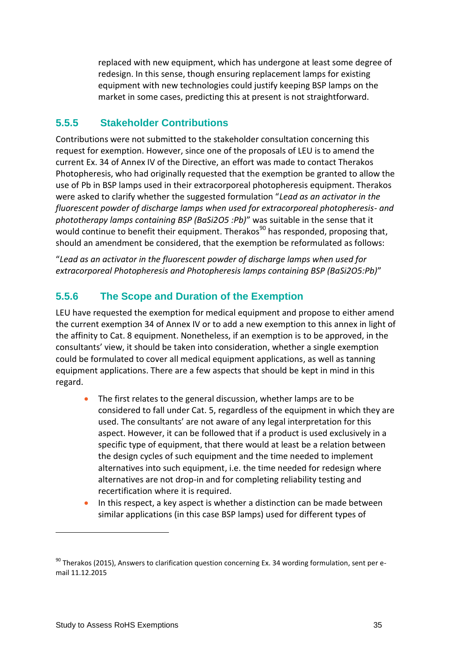replaced with new equipment, which has undergone at least some degree of redesign. In this sense, though ensuring replacement lamps for existing equipment with new technologies could justify keeping BSP lamps on the market in some cases, predicting this at present is not straightforward.

#### **5.5.5 Stakeholder Contributions**

Contributions were not submitted to the stakeholder consultation concerning this request for exemption. However, since one of the proposals of LEU is to amend the current Ex. 34 of Annex IV of the Directive, an effort was made to contact Therakos Photopheresis, who had originally requested that the exemption be granted to allow the use of Pb in BSP lamps used in their extracorporeal photopheresis equipment. Therakos were asked to clarify whether the suggested formulation "*Lead as an activator in the fluorescent powder of discharge lamps when used for extracorporeal photopheresis- and phototherapy lamps containing BSP (BaSi2O5 :Pb)*" was suitable in the sense that it would continue to benefit their equipment. Therakos<sup>90</sup> has responded, proposing that, should an amendment be considered, that the exemption be reformulated as follows:

"*Lead as an activator in the fluorescent powder of discharge lamps when used for extracorporeal Photopheresis and Photopheresis lamps containing BSP (BaSi2O5:Pb)*"

### **5.5.6 The Scope and Duration of the Exemption**

LEU have requested the exemption for medical equipment and propose to either amend the current exemption 34 of Annex IV or to add a new exemption to this annex in light of the affinity to Cat. 8 equipment. Nonetheless, if an exemption is to be approved, in the consultants' view, it should be taken into consideration, whether a single exemption could be formulated to cover all medical equipment applications, as well as tanning equipment applications. There are a few aspects that should be kept in mind in this regard.

- The first relates to the general discussion, whether lamps are to be considered to fall under Cat. 5, regardless of the equipment in which they are used. The consultants' are not aware of any legal interpretation for this aspect. However, it can be followed that if a product is used exclusively in a specific type of equipment, that there would at least be a relation between the design cycles of such equipment and the time needed to implement alternatives into such equipment, i.e. the time needed for redesign where alternatives are not drop-in and for completing reliability testing and recertification where it is required.
- In this respect, a key aspect is whether a distinction can be made between similar applications (in this case BSP lamps) used for different types of

<sup>&</sup>lt;sup>90</sup> Therakos (2015), Answers to clarification question concerning Ex. 34 wording formulation, sent per email 11.12.2015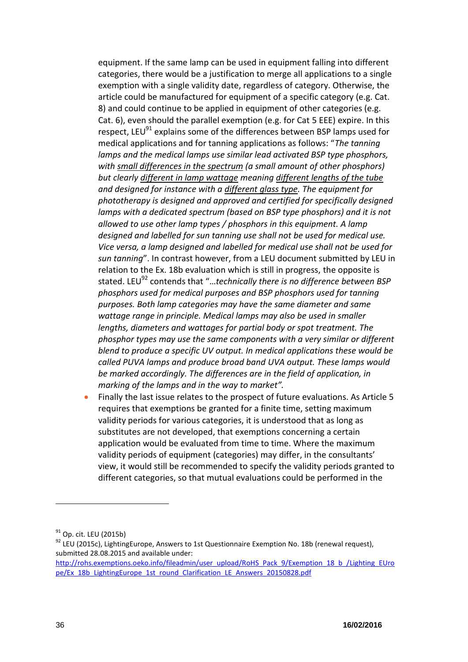equipment. If the same lamp can be used in equipment falling into different categories, there would be a justification to merge all applications to a single exemption with a single validity date, regardless of category. Otherwise, the article could be manufactured for equipment of a specific category (e.g. Cat. 8) and could continue to be applied in equipment of other categories (e.g. Cat. 6), even should the parallel exemption (e.g. for Cat 5 EEE) expire. In this respect, LEU<sup>91</sup> explains some of the differences between BSP lamps used for medical applications and for tanning applications as follows: "*The tanning lamps and the medical lamps use similar lead activated BSP type phosphors, with small differences in the spectrum (a small amount of other phosphors) but clearly different in lamp wattage meaning different lengths of the tube and designed for instance with a different glass type. The equipment for phototherapy is designed and approved and certified for specifically designed*  lamps with a dedicated spectrum (based on BSP type phosphors) and it is not *allowed to use other lamp types / phosphors in this equipment. A lamp designed and labelled for sun tanning use shall not be used for medical use. Vice versa, a lamp designed and labelled for medical use shall not be used for sun tanning*". In contrast however, from a LEU document submitted by LEU in relation to the Ex. 18b evaluation which is still in progress, the opposite is stated. LEU<sup>92</sup> contends that "...technically there is no difference between BSP *phosphors used for medical purposes and BSP phosphors used for tanning purposes. Both lamp categories may have the same diameter and same wattage range in principle. Medical lamps may also be used in smaller lengths, diameters and wattages for partial body or spot treatment. The phosphor types may use the same components with a very similar or different blend to produce a specific UV output. In medical applications these would be called PUVA lamps and produce broad band UVA output. These lamps would be marked accordingly. The differences are in the field of application, in marking of the lamps and in the way to market".*

 Finally the last issue relates to the prospect of future evaluations. As Article 5 requires that exemptions be granted for a finite time, setting maximum validity periods for various categories, it is understood that as long as substitutes are not developed, that exemptions concerning a certain application would be evaluated from time to time. Where the maximum validity periods of equipment (categories) may differ, in the consultants' view, it would still be recommended to specify the validity periods granted to different categories, so that mutual evaluations could be performed in the

<sup>&</sup>lt;sup>91</sup> Op. cit. LEU (2015b)

 $92$  LEU (2015c), LightingEurope, Answers to 1st Questionnaire Exemption No. 18b (renewal request), submitted 28.08.2015 and available under:

[http://rohs.exemptions.oeko.info/fileadmin/user\\_upload/RoHS\\_Pack\\_9/Exemption\\_18\\_b\\_/Lighting\\_EUro](http://rohs.exemptions.oeko.info/fileadmin/user_upload/RoHS_Pack_9/Exemption_18_b_/Lighting_EUrope/Ex_18b_LightingEurope_1st_round_Clarification_LE_Answers_20150828.pdf) [pe/Ex\\_18b\\_LightingEurope\\_1st\\_round\\_Clarification\\_LE\\_Answers\\_20150828.pdf](http://rohs.exemptions.oeko.info/fileadmin/user_upload/RoHS_Pack_9/Exemption_18_b_/Lighting_EUrope/Ex_18b_LightingEurope_1st_round_Clarification_LE_Answers_20150828.pdf)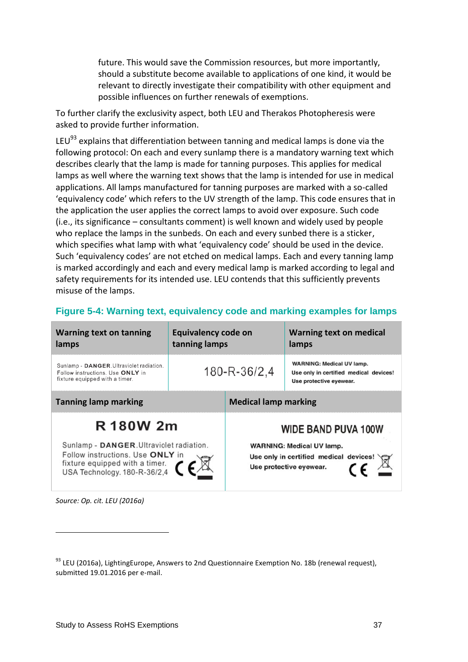future. This would save the Commission resources, but more importantly, should a substitute become available to applications of one kind, it would be relevant to directly investigate their compatibility with other equipment and possible influences on further renewals of exemptions.

To further clarify the exclusivity aspect, both LEU and Therakos Photopheresis were asked to provide further information.

LEU $^{93}$  explains that differentiation between tanning and medical lamps is done via the following protocol: On each and every sunlamp there is a mandatory warning text which describes clearly that the lamp is made for tanning purposes. This applies for medical lamps as well where the warning text shows that the lamp is intended for use in medical applications. All lamps manufactured for tanning purposes are marked with a so-called 'equivalency code' which refers to the UV strength of the lamp. This code ensures that in the application the user applies the correct lamps to avoid over exposure. Such code (i.e., its significance – consultants comment) is well known and widely used by people who replace the lamps in the sunbeds. On each and every sunbed there is a sticker, which specifies what lamp with what 'equivalency code' should be used in the device. Such 'equivalency codes' are not etched on medical lamps. Each and every tanning lamp is marked accordingly and each and every medical lamp is marked according to legal and safety requirements for its intended use. LEU contends that this sufficiently prevents misuse of the lamps.

| <b>Warning text on tanning</b><br>lamps                                                                                                                                      | Equivalency code on<br>tanning lamps |                             | <b>Warning text on medical</b><br>lamps                                                                                             |
|------------------------------------------------------------------------------------------------------------------------------------------------------------------------------|--------------------------------------|-----------------------------|-------------------------------------------------------------------------------------------------------------------------------------|
| Sunlamp - DANGER. Ultraviolet radiation.<br>Follow instructions. Use ONLY in<br>fixture equipped with a timer.                                                               | 180-R-36/2,4                         |                             | <b>WARNING: Medical UV lamp.</b><br>Use only in certified medical devices!<br>Use protective eyewear.                               |
| <b>Tanning lamp marking</b>                                                                                                                                                  |                                      | <b>Medical lamp marking</b> |                                                                                                                                     |
| R 180W 2m<br>Sunlamp - DANGER. Ultraviolet radiation.<br>Follow instructions. Use ONLY in<br>fixture equipped with a timer. $\bigcup$ USA Technology. 180-R-36/2,4 $\bigcap$ |                                      |                             | <b>WIDE BAND PUVA 100W</b><br><b>WARNING: Medical UV lamp.</b><br>Use only in certified medical devices!<br>Use protective eyewear. |

#### **Figure 5-4: Warning text, equivalency code and marking examples for lamps**

*Source: Op. cit. LEU (2016a)*

 $93$  LEU (2016a), LightingEurope, Answers to 2nd Questionnaire Exemption No. 18b (renewal request), submitted 19.01.2016 per e-mail.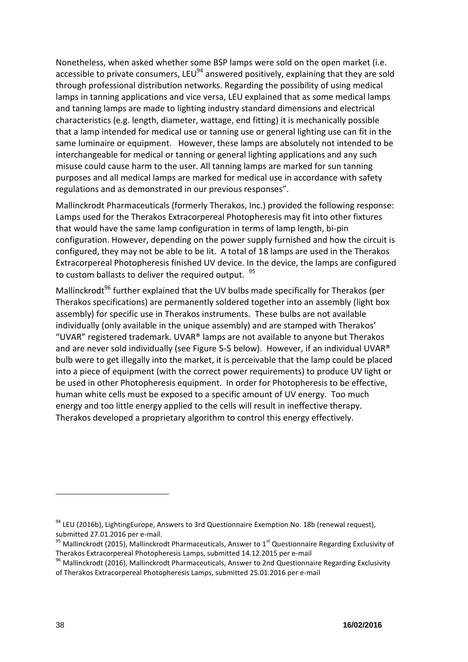Nonetheless, when asked whether some BSP lamps were sold on the open market (i.e. accessible to private consumers, LEU<sup>94</sup> answered positively, explaining that they are sold through professional distribution networks. Regarding the possibility of using medical lamps in tanning applications and vice versa, LEU explained that as some medical lamps and tanning lamps are made to lighting industry standard dimensions and electrical characteristics (e.g. length, diameter, wattage, end fitting) it is mechanically possible that a lamp intended for medical use or tanning use or general lighting use can fit in the same luminaire or equipment. However, these lamps are absolutely not intended to be interchangeable for medical or tanning or general lighting applications and any such misuse could cause harm to the user. All tanning lamps are marked for sun tanning purposes and all medical lamps are marked for medical use in accordance with safety regulations and as demonstrated in our previous responses".

Mallinckrodt Pharmaceuticals (formerly Therakos, Inc.) provided the following response: Lamps used for the Therakos Extracorpereal Photopheresis may fit into other fixtures that would have the same lamp configuration in terms of lamp length, bi-pin configuration. However, depending on the power supply furnished and how the circuit is configured, they may not be able to be lit. A total of 18 lamps are used in the Therakos Extracorpereal Photopheresis finished UV device. In the device, the lamps are configured to custom ballasts to deliver the required output. <sup>95</sup>

Mallinckrodt<sup>96</sup> further explained that the UV bulbs made specifically for Therakos (per Therakos specifications) are permanently soldered together into an assembly (light box assembly) for specific use in Therakos instruments. These bulbs are not available individually (only available in the unique assembly) and are stamped with Therakos' "UVAR" registered trademark. UVAR® lamps are not available to anyone but Therakos and are never sold individually (see [Figure 5-5](#page-19-0) below). However, if an individual UVAR® bulb were to get illegally into the market, it is perceivable that the lamp could be placed into a piece of equipment (with the correct power requirements) to produce UV light or be used in other Photopheresis equipment. In order for Photopheresis to be effective, human white cells must be exposed to a specific amount of UV energy. Too much energy and too little energy applied to the cells will result in ineffective therapy. Therakos developed a proprietary algorithm to control this energy effectively.

<sup>&</sup>lt;sup>94</sup> LEU (2016b), LightingEurope, Answers to 3rd Questionnaire Exemption No. 18b (renewal request), submitted 27.01.2016 per e-mail.

 $^{95}$  Mallinckrodt (2015), Mallinckrodt Pharmaceuticals, Answer to 1<sup>st</sup> Questionnaire Regarding Exclusivity of Therakos Extracorpereal Photopheresis Lamps, submitted 14.12.2015 per e-mail

<sup>&</sup>lt;sup>96</sup> Mallinckrodt (2016), Mallinckrodt Pharmaceuticals, Answer to 2nd Questionnaire Regarding Exclusivity of Therakos Extracorpereal Photopheresis Lamps, submitted 25.01.2016 per e-mail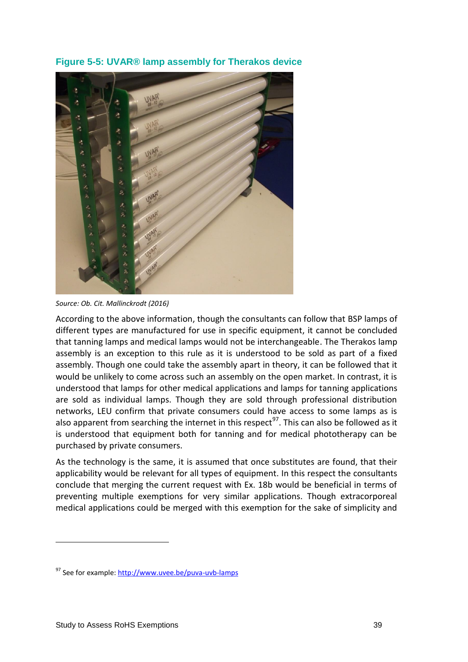<span id="page-19-0"></span>**Figure 5-5: UVAR® lamp assembly for Therakos device**



*Source: Ob. Cit. Mallinckrodt (2016)*

According to the above information, though the consultants can follow that BSP lamps of different types are manufactured for use in specific equipment, it cannot be concluded that tanning lamps and medical lamps would not be interchangeable. The Therakos lamp assembly is an exception to this rule as it is understood to be sold as part of a fixed assembly. Though one could take the assembly apart in theory, it can be followed that it would be unlikely to come across such an assembly on the open market. In contrast, it is understood that lamps for other medical applications and lamps for tanning applications are sold as individual lamps. Though they are sold through professional distribution networks, LEU confirm that private consumers could have access to some lamps as is also apparent from searching the internet in this respect<sup>97</sup>. This can also be followed as it is understood that equipment both for tanning and for medical phototherapy can be purchased by private consumers.

As the technology is the same, it is assumed that once substitutes are found, that their applicability would be relevant for all types of equipment. In this respect the consultants conclude that merging the current request with Ex. 18b would be beneficial in terms of preventing multiple exemptions for very similar applications. Though extracorporeal medical applications could be merged with this exemption for the sake of simplicity and

<sup>97</sup> See for example:<http://www.uvee.be/puva-uvb-lamps>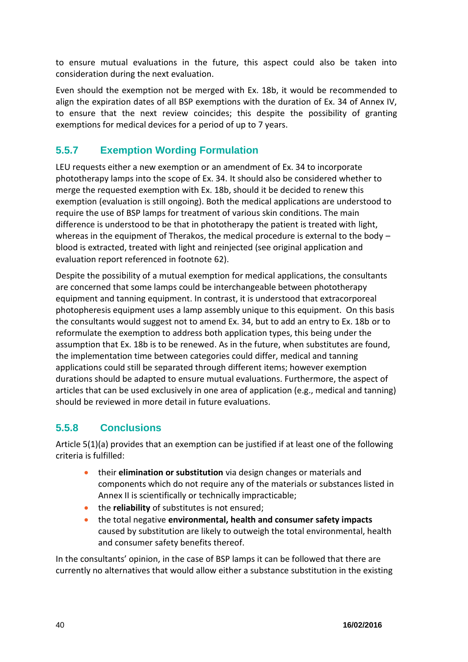to ensure mutual evaluations in the future, this aspect could also be taken into consideration during the next evaluation.

Even should the exemption not be merged with Ex. 18b, it would be recommended to align the expiration dates of all BSP exemptions with the duration of Ex. 34 of Annex IV, to ensure that the next review coincides; this despite the possibility of granting exemptions for medical devices for a period of up to 7 years.

## **5.5.7 Exemption Wording Formulation**

LEU requests either a new exemption or an amendment of Ex. 34 to incorporate phototherapy lamps into the scope of Ex. 34. It should also be considered whether to merge the requested exemption with Ex. 18b, should it be decided to renew this exemption (evaluation is still ongoing). Both the medical applications are understood to require the use of BSP lamps for treatment of various skin conditions. The main difference is understood to be that in phototherapy the patient is treated with light, whereas in the equipment of Therakos, the medical procedure is external to the body – blood is extracted, treated with light and reinjected (see original application and evaluation report referenced in footnote [62\)](#page-4-0).

Despite the possibility of a mutual exemption for medical applications, the consultants are concerned that some lamps could be interchangeable between phototherapy equipment and tanning equipment. In contrast, it is understood that extracorporeal photopheresis equipment uses a lamp assembly unique to this equipment. On this basis the consultants would suggest not to amend Ex. 34, but to add an entry to Ex. 18b or to reformulate the exemption to address both application types, this being under the assumption that Ex. 18b is to be renewed. As in the future, when substitutes are found, the implementation time between categories could differ, medical and tanning applications could still be separated through different items; however exemption durations should be adapted to ensure mutual evaluations. Furthermore, the aspect of articles that can be used exclusively in one area of application (e.g., medical and tanning) should be reviewed in more detail in future evaluations.

## **5.5.8 Conclusions**

Article 5(1)(a) provides that an exemption can be justified if at least one of the following criteria is fulfilled:

- their **elimination or substitution** via design changes or materials and components which do not require any of the materials or substances listed in Annex II is scientifically or technically impracticable;
- **the reliability** of substitutes is not ensured;
- the total negative **environmental, health and consumer safety impacts** caused by substitution are likely to outweigh the total environmental, health and consumer safety benefits thereof.

In the consultants' opinion, in the case of BSP lamps it can be followed that there are currently no alternatives that would allow either a substance substitution in the existing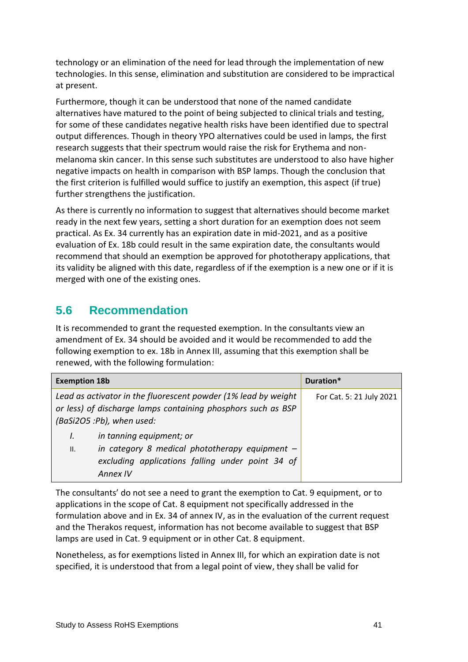technology or an elimination of the need for lead through the implementation of new technologies. In this sense, elimination and substitution are considered to be impractical at present.

Furthermore, though it can be understood that none of the named candidate alternatives have matured to the point of being subjected to clinical trials and testing, for some of these candidates negative health risks have been identified due to spectral output differences. Though in theory YPO alternatives could be used in lamps, the first research suggests that their spectrum would raise the risk for Erythema and nonmelanoma skin cancer. In this sense such substitutes are understood to also have higher negative impacts on health in comparison with BSP lamps. Though the conclusion that the first criterion is fulfilled would suffice to justify an exemption, this aspect (if true) further strengthens the justification.

As there is currently no information to suggest that alternatives should become market ready in the next few years, setting a short duration for an exemption does not seem practical. As Ex. 34 currently has an expiration date in mid-2021, and as a positive evaluation of Ex. 18b could result in the same expiration date, the consultants would recommend that should an exemption be approved for phototherapy applications, that its validity be aligned with this date, regardless of if the exemption is a new one or if it is merged with one of the existing ones.

## **5.6 Recommendation**

It is recommended to grant the requested exemption. In the consultants view an amendment of Ex. 34 should be avoided and it would be recommended to add the following exemption to ex. 18b in Annex III, assuming that this exemption shall be renewed, with the following formulation:

| <b>Exemption 18b</b>                                                                                                                                        | Duration*                |
|-------------------------------------------------------------------------------------------------------------------------------------------------------------|--------------------------|
| Lead as activator in the fluorescent powder (1% lead by weight<br>or less) of discharge lamps containing phosphors such as BSP<br>(BaSi2O5 :Pb), when used: | For Cat. 5: 21 July 2021 |
| in tanning equipment; or<br>I.<br>in category 8 medical phototherapy equipment $-$<br>Ш.<br>excluding applications falling under point 34 of<br>Annex IV    |                          |

The consultants' do not see a need to grant the exemption to Cat. 9 equipment, or to applications in the scope of Cat. 8 equipment not specifically addressed in the formulation above and in Ex. 34 of annex IV, as in the evaluation of the current request and the Therakos request, information has not become available to suggest that BSP lamps are used in Cat. 9 equipment or in other Cat. 8 equipment.

Nonetheless, as for exemptions listed in Annex III, for which an expiration date is not specified, it is understood that from a legal point of view, they shall be valid for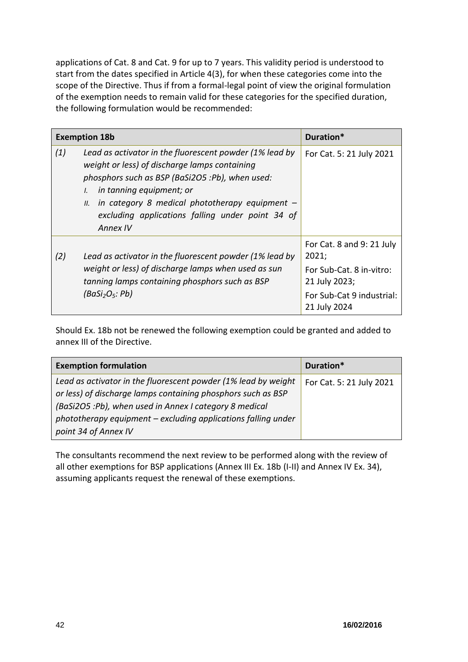applications of Cat. 8 and Cat. 9 for up to 7 years. This validity period is understood to start from the dates specified in Article 4(3), for when these categories come into the scope of the Directive. Thus if from a formal-legal point of view the original formulation of the exemption needs to remain valid for these categories for the specified duration, the following formulation would be recommended:

| <b>Exemption 18b</b> |                                                                                                                                                                                                                                                                                                                                    | Duration*                                                                                                                    |
|----------------------|------------------------------------------------------------------------------------------------------------------------------------------------------------------------------------------------------------------------------------------------------------------------------------------------------------------------------------|------------------------------------------------------------------------------------------------------------------------------|
| (1)                  | Lead as activator in the fluorescent powder (1% lead by<br>weight or less) of discharge lamps containing<br>phosphors such as BSP (BaSi2O5 :Pb), when used:<br>in tanning equipment; or<br>$\mathcal{L}$<br>$\mu$ . in category 8 medical phototherapy equipment -<br>excluding applications falling under point 34 of<br>Annex IV | For Cat. 5: 21 July 2021                                                                                                     |
| (2)                  | Lead as activator in the fluorescent powder (1% lead by<br>weight or less) of discharge lamps when used as sun<br>tanning lamps containing phosphors such as BSP<br>(BaSi <sub>2</sub> O <sub>5</sub> : Pb)                                                                                                                        | For Cat. 8 and 9: 21 July<br>2021;<br>For Sub-Cat. 8 in-vitro:<br>21 July 2023;<br>For Sub-Cat 9 industrial:<br>21 July 2024 |

Should Ex. 18b not be renewed the following exemption could be granted and added to annex III of the Directive.

| <b>Exemption formulation</b>                                                                                                                                                                                                                                                      | Duration*                |
|-----------------------------------------------------------------------------------------------------------------------------------------------------------------------------------------------------------------------------------------------------------------------------------|--------------------------|
| Lead as activator in the fluorescent powder (1% lead by weight<br>or less) of discharge lamps containing phosphors such as BSP<br>(BaSi2O5 :Pb), when used in Annex I category 8 medical<br>phototherapy equipment - excluding applications falling under<br>point 34 of Annex IV | For Cat. 5: 21 July 2021 |

The consultants recommend the next review to be performed along with the review of all other exemptions for BSP applications (Annex III Ex. 18b (I-II) and Annex IV Ex. 34), assuming applicants request the renewal of these exemptions.